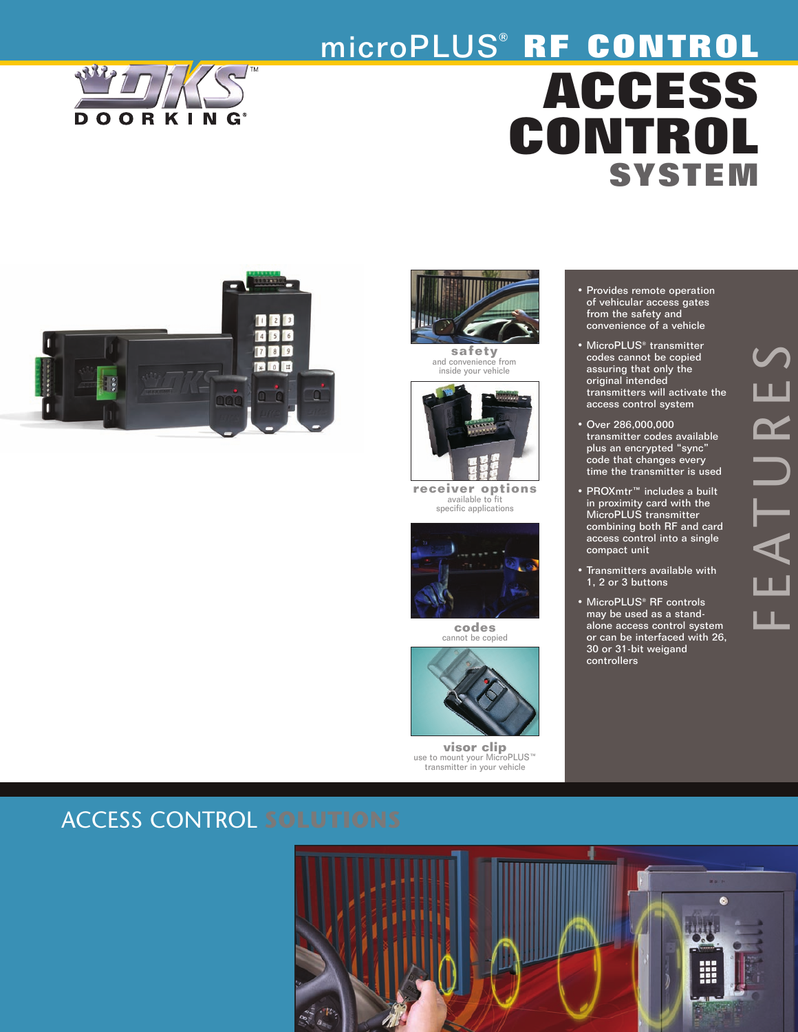

# microPLUS® **RF CONTROL ACCESS CONTROL SYSTEM**





**safety** and convenience from inside your vehicle



**receiver options** available to fit specific applications



**codes** cannot be copied



**visor clip**<br>use to mount your MicroPLUS™<br>transmitter in your vehicle

- Provides remote operation of vehicular access gates from the safety and convenience of a vehicle
- MicroPLUS<sup>®</sup> transmitter codes cannot be copied assuring that only the original intended transmitters will activate the access control system
- Over 286,000,000 transmitter codes available plus an encrypted "sync" code that changes every time the transmitter is used
- PROXmtr™ includes a built in proximity card with the MicroPLUS transmitter combining both RF and card access control into a single compact unit
- Transmitters available with 1, 2 or 3 buttons
- MicroPLUS® RF controls may be used as a standalone access control system or can be interfaced with 26, 30 or 31-bit weigand controllers

# $\Box$ ய  $\blacktriangleleft$  $\vdash$ U  $\boldsymbol{\alpha}$  $\blacksquare$  $\boldsymbol{\mathcal{S}}$

# ACCESS CONTROL **SOLUTIONS**